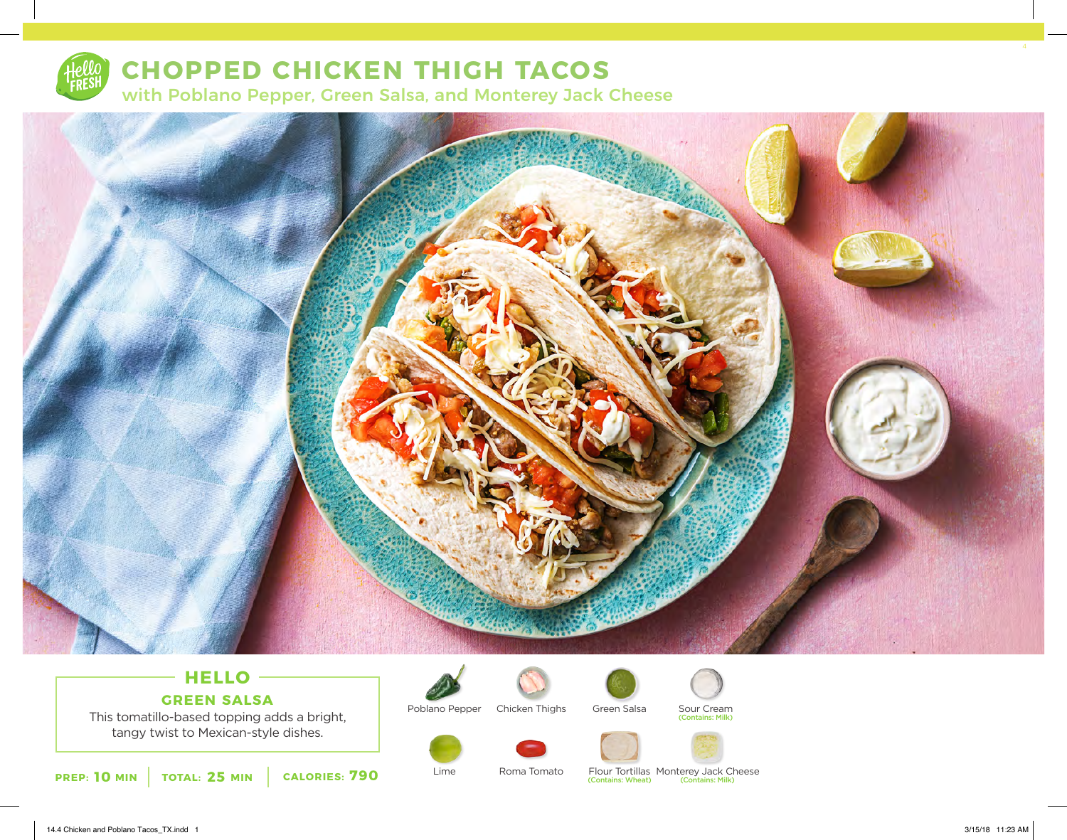

# **CHOPPED CHICKEN THIGH TACOS**

with Poblano Pepper, Green Salsa, and Monterey Jack Cheese



# **HELLO GREEN SALSA**

This tomatillo-based topping adds a bright, tangy twist to Mexican-style dishes.



Lime



Sour Cream (Contains: Milk)





**10** MIN | TOTAL: 25 MIN | CALORIES: 790

Roma Tomato

Flour Tortillas Monterey Jack Cheese (Contains: Wheat) (Contains: Milk)

14.4 Chicken and Poblano Tacos\_TX.indd 1 3/15/18 11:23 AM